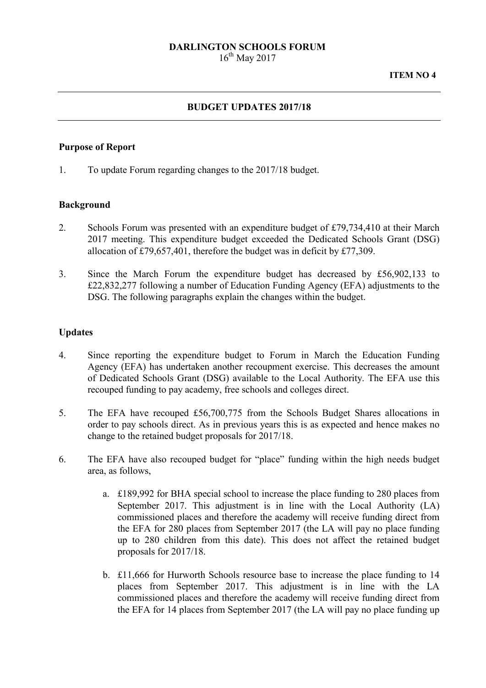# **DARLINGTON SCHOOLS FORUM**

 $16^{th}$  May 2017

#### **BUDGET UPDATES 2017/18**

#### **Purpose of Report**

1. To update Forum regarding changes to the 2017/18 budget.

#### **Background**

- 2. Schools Forum was presented with an expenditure budget of £79,734,410 at their March 2017 meeting. This expenditure budget exceeded the Dedicated Schools Grant (DSG) allocation of £79,657,401, therefore the budget was in deficit by £77,309.
- 3. Since the March Forum the expenditure budget has decreased by £56,902,133 to £22,832,277 following a number of Education Funding Agency (EFA) adjustments to the DSG. The following paragraphs explain the changes within the budget.

#### **Updates**

- 4. Since reporting the expenditure budget to Forum in March the Education Funding Agency (EFA) has undertaken another recoupment exercise. This decreases the amount of Dedicated Schools Grant (DSG) available to the Local Authority. The EFA use this recouped funding to pay academy, free schools and colleges direct.
- 5. The EFA have recouped £56,700,775 from the Schools Budget Shares allocations in order to pay schools direct. As in previous years this is as expected and hence makes no change to the retained budget proposals for 2017/18.
- 6. The EFA have also recouped budget for "place" funding within the high needs budget area, as follows,
	- a. £189,992 for BHA special school to increase the place funding to 280 places from September 2017. This adjustment is in line with the Local Authority (LA) commissioned places and therefore the academy will receive funding direct from the EFA for 280 places from September 2017 (the LA will pay no place funding up to 280 children from this date). This does not affect the retained budget proposals for 2017/18.
	- b. £11,666 for Hurworth Schools resource base to increase the place funding to 14 places from September 2017. This adjustment is in line with the LA commissioned places and therefore the academy will receive funding direct from the EFA for 14 places from September 2017 (the LA will pay no place funding up